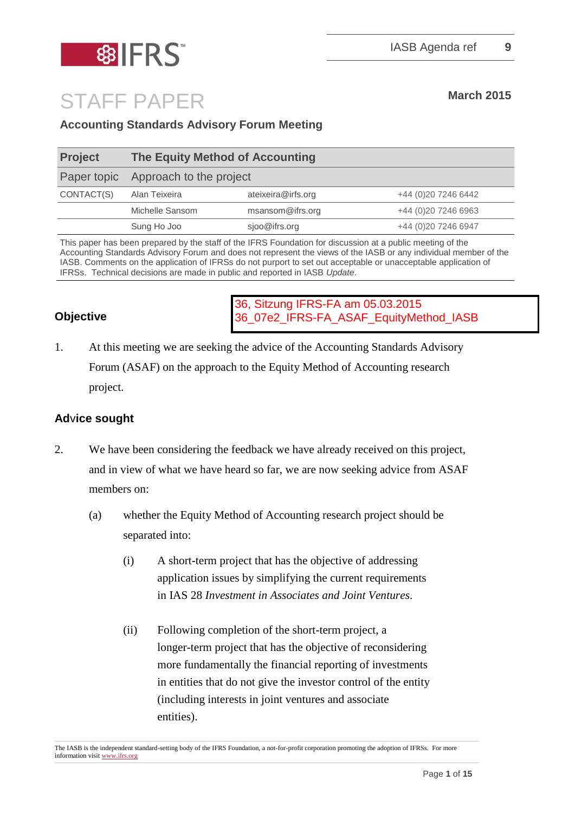

# STAFF PAPER March 2015

#### **Accounting Standards Advisory Forum Meeting**

| <b>Project</b> | The Equity Method of Accounting     |                    |                      |
|----------------|-------------------------------------|--------------------|----------------------|
|                | Paper topic Approach to the project |                    |                      |
| CONTACT(S)     | Alan Teixeira                       | ateixeira@irfs.org | +44 (0) 20 7246 6442 |
|                | Michelle Sansom                     | msansom@ifrs.org   | +44 (0) 20 7246 6963 |
|                | Sung Ho Joo                         | sjoo@ifrs.org      | +44 (0)20 7246 6947  |
|                |                                     |                    |                      |

This paper has been prepared by the staff of the IFRS Foundation for discussion at a public meeting of the Accounting Standards Advisory Forum and does not represent the views of the IASB or any individual member of the IASB. Comments on the application of IFRSs do not purport to set out acceptable or unacceptable application of IFRSs. Technical decisions are made in public and reported in IASB *Update*.

#### **Objective**

36, Sitzung IFRS-FA am 05.03.2015 36\_07e2\_IFRS-FA\_ASAF\_EquityMethod\_IASB

1. At this meeting we are seeking the advice of the Accounting Standards Advisory Forum (ASAF) on the approach to the Equity Method of Accounting research project.

#### **Ad**v**ice sought**

- 2. We have been considering the feedback we have already received on this project, and in view of what we have heard so far, we are now seeking advice from ASAF members on:
	- (a) whether the Equity Method of Accounting research project should be separated into:
		- (i) A short-term project that has the objective of addressing application issues by simplifying the current requirements in IAS 28 *Investment in Associates and Joint Ventures*.
		- (ii) Following completion of the short-term project, a longer-term project that has the objective of reconsidering more fundamentally the financial reporting of investments in entities that do not give the investor control of the entity (including interests in joint ventures and associate entities).

The IASB is the independent standard-setting body of the IFRS Foundation, a not-for-profit corporation promoting the adoption of IFRSs. For more information visi[t www.ifrs.org](http://www.ifrs.org/)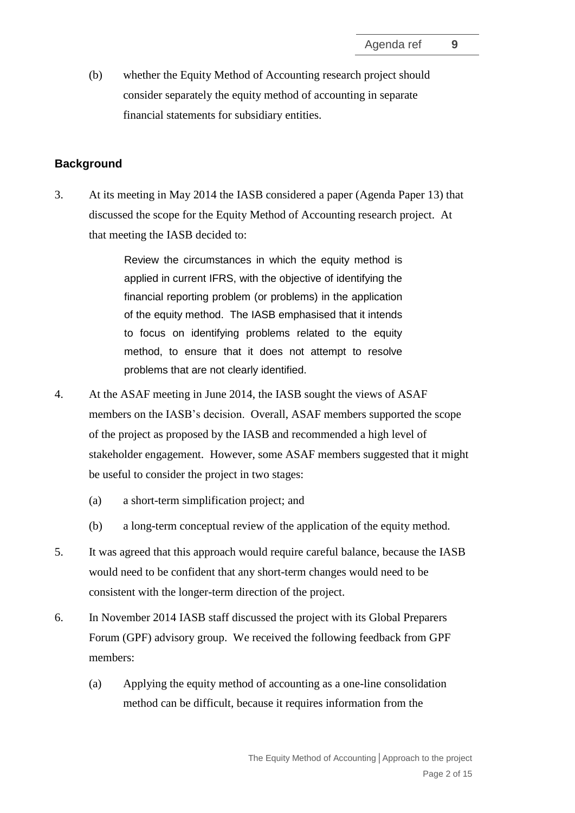(b) whether the Equity Method of Accounting research project should consider separately the equity method of accounting in separate financial statements for subsidiary entities.

#### **Background**

3. At its meeting in May 2014 the IASB considered a paper (Agenda Paper 13) that discussed the scope for the Equity Method of Accounting research project. At that meeting the IASB decided to:

> Review the circumstances in which the equity method is applied in current IFRS, with the objective of identifying the financial reporting problem (or problems) in the application of the equity method. The IASB emphasised that it intends to focus on identifying problems related to the equity method, to ensure that it does not attempt to resolve problems that are not clearly identified.

- 4. At the ASAF meeting in June 2014, the IASB sought the views of ASAF members on the IASB's decision. Overall, ASAF members supported the scope of the project as proposed by the IASB and recommended a high level of stakeholder engagement. However, some ASAF members suggested that it might be useful to consider the project in two stages:
	- (a) a short-term simplification project; and
	- (b) a long-term conceptual review of the application of the equity method.
- 5. It was agreed that this approach would require careful balance, because the IASB would need to be confident that any short-term changes would need to be consistent with the longer-term direction of the project.
- 6. In November 2014 IASB staff discussed the project with its Global Preparers Forum (GPF) advisory group. We received the following feedback from GPF members:
	- (a) Applying the equity method of accounting as a one-line consolidation method can be difficult, because it requires information from the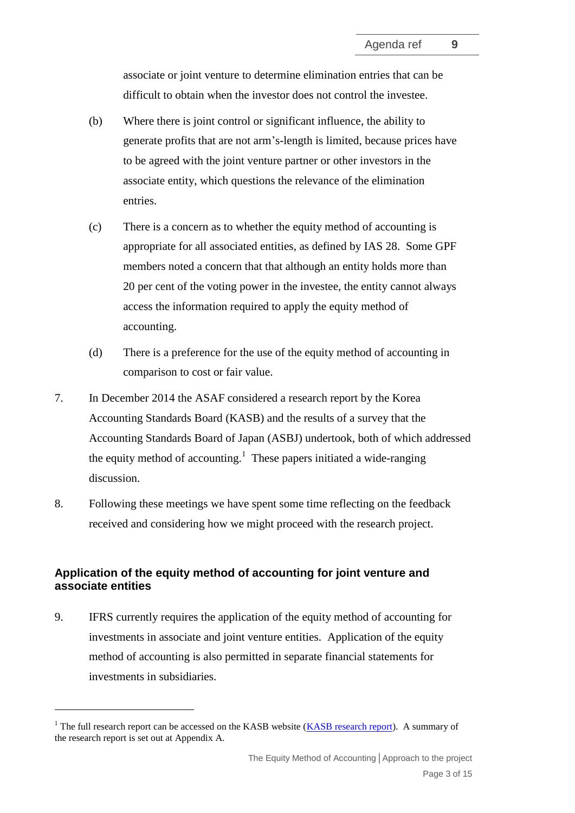associate or joint venture to determine elimination entries that can be difficult to obtain when the investor does not control the investee.

- (b) Where there is joint control or significant influence, the ability to generate profits that are not arm's-length is limited, because prices have to be agreed with the joint venture partner or other investors in the associate entity, which questions the relevance of the elimination entries.
- (c) There is a concern as to whether the equity method of accounting is appropriate for all associated entities, as defined by IAS 28. Some GPF members noted a concern that that although an entity holds more than 20 per cent of the voting power in the investee, the entity cannot always access the information required to apply the equity method of accounting.
- (d) There is a preference for the use of the equity method of accounting in comparison to cost or fair value.
- 7. In December 2014 the ASAF considered a research report by the Korea Accounting Standards Board (KASB) and the results of a survey that the Accounting Standards Board of Japan (ASBJ) undertook, both of which addressed the equity method of accounting.<sup>1</sup> These papers initiated a wide-ranging discussion.
- 8. Following these meetings we have spent some time reflecting on the feedback received and considering how we might proceed with the research project.

#### **Application of the equity method of accounting for joint venture and associate entities**

9. IFRS currently requires the application of the equity method of accounting for investments in associate and joint venture entities. Application of the equity method of accounting is also permitted in separate financial statements for investments in subsidiaries.

<u>.</u>

 $1$  The full research report can be accessed on the KASB website [\(KASB research report\)](http://eng.kasb.or.kr/). A summary of the research report is set out at Appendix A.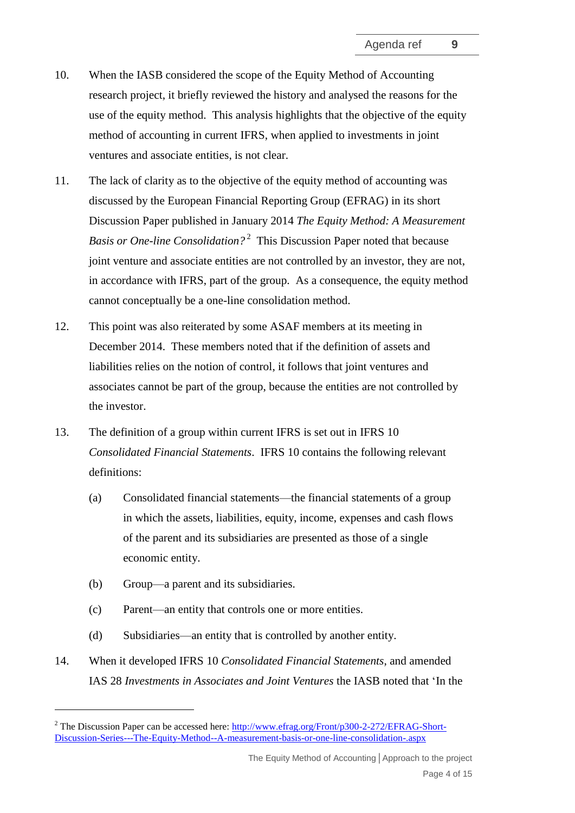- 10. When the IASB considered the scope of the Equity Method of Accounting research project, it briefly reviewed the history and analysed the reasons for the use of the equity method. This analysis highlights that the objective of the equity method of accounting in current IFRS, when applied to investments in joint ventures and associate entities, is not clear.
- 11. The lack of clarity as to the objective of the equity method of accounting was discussed by the European Financial Reporting Group (EFRAG) in its short Discussion Paper published in January 2014 *The Equity Method: A Measurement Basis or One-line Consolidation?* 2 This Discussion Paper noted that because joint venture and associate entities are not controlled by an investor, they are not, in accordance with IFRS, part of the group. As a consequence, the equity method cannot conceptually be a one-line consolidation method.
- 12. This point was also reiterated by some ASAF members at its meeting in December 2014. These members noted that if the definition of assets and liabilities relies on the notion of control, it follows that joint ventures and associates cannot be part of the group, because the entities are not controlled by the investor.
- 13. The definition of a group within current IFRS is set out in IFRS 10 *Consolidated Financial Statements*. IFRS 10 contains the following relevant definitions:
	- (a) Consolidated financial statements—the financial statements of a group in which the assets, liabilities, equity, income, expenses and cash flows of the parent and its subsidiaries are presented as those of a single economic entity.
	- (b) Group—a parent and its subsidiaries.

<u>.</u>

- (c) Parent—an entity that controls one or more entities.
- (d) Subsidiaries—an entity that is controlled by another entity.
- 14. When it developed IFRS 10 *Consolidated Financial Statements*, and amended IAS 28 *Investments in Associates and Joint Ventures* the IASB noted that 'In the

<sup>&</sup>lt;sup>2</sup> The Discussion Paper can be accessed here: [http://www.efrag.org/Front/p300-2-272/EFRAG-Short-](http://www.efrag.org/Front/p300-2-272/EFRAG-Short-Discussion-Series---The-Equity-Method--A-measurement-basis-or-one-line-consolidation-.aspx)[Discussion-Series---The-Equity-Method--A-measurement-basis-or-one-line-consolidation-.aspx](http://www.efrag.org/Front/p300-2-272/EFRAG-Short-Discussion-Series---The-Equity-Method--A-measurement-basis-or-one-line-consolidation-.aspx)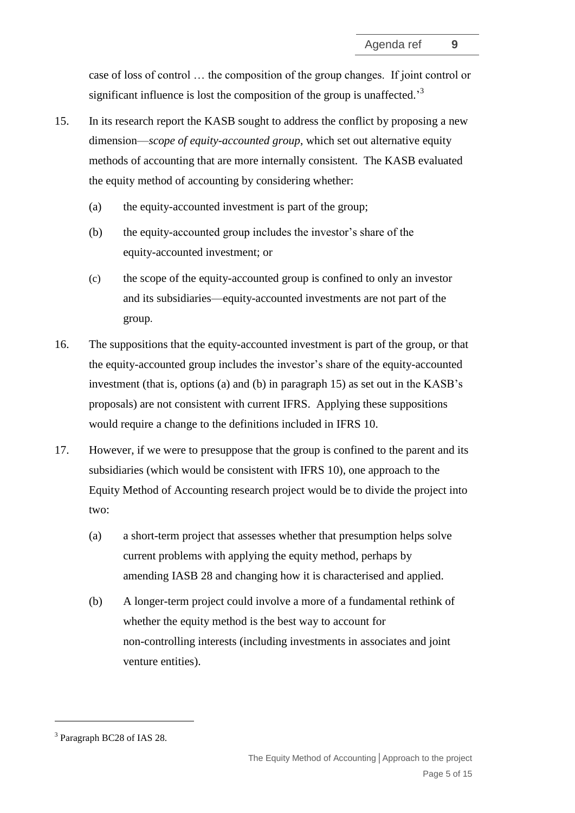case of loss of control … the composition of the group changes. If joint control or significant influence is lost the composition of the group is unaffected.<sup>3</sup>

- 15. In its research report the KASB sought to address the conflict by proposing a new dimension—*scope of equity-accounted group*, which set out alternative equity methods of accounting that are more internally consistent. The KASB evaluated the equity method of accounting by considering whether:
	- (a) the equity-accounted investment is part of the group;
	- (b) the equity-accounted group includes the investor's share of the equity-accounted investment; or
	- (c) the scope of the equity-accounted group is confined to only an investor and its subsidiaries—equity-accounted investments are not part of the group.
- 16. The suppositions that the equity-accounted investment is part of the group, or that the equity-accounted group includes the investor's share of the equity-accounted investment (that is, options (a) and (b) in paragraph 15) as set out in the KASB's proposals) are not consistent with current IFRS. Applying these suppositions would require a change to the definitions included in IFRS 10.
- 17. However, if we were to presuppose that the group is confined to the parent and its subsidiaries (which would be consistent with IFRS 10), one approach to the Equity Method of Accounting research project would be to divide the project into two:
	- (a) a short-term project that assesses whether that presumption helps solve current problems with applying the equity method, perhaps by amending IASB 28 and changing how it is characterised and applied.
	- (b) A longer-term project could involve a more of a fundamental rethink of whether the equity method is the best way to account for non-controlling interests (including investments in associates and joint venture entities).

1

<sup>&</sup>lt;sup>3</sup> Paragraph BC28 of IAS 28.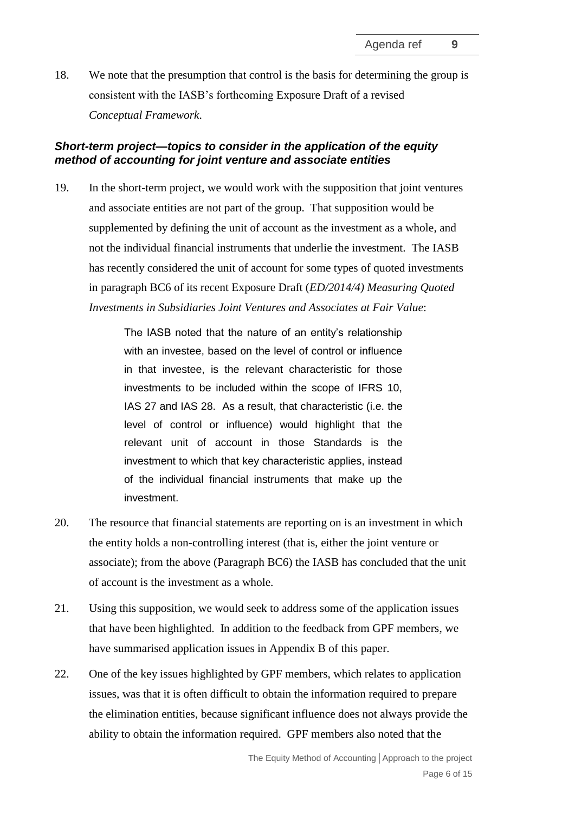18. We note that the presumption that control is the basis for determining the group is consistent with the IASB's forthcoming Exposure Draft of a revised *Conceptual Framework*.

#### *Short-term project—topics to consider in the application of the equity method of accounting for joint venture and associate entities*

19. In the short-term project, we would work with the supposition that joint ventures and associate entities are not part of the group. That supposition would be supplemented by defining the unit of account as the investment as a whole, and not the individual financial instruments that underlie the investment. The IASB has recently considered the unit of account for some types of quoted investments in paragraph BC6 of its recent Exposure Draft (*ED/2014/4) Measuring Quoted Investments in Subsidiaries Joint Ventures and Associates at Fair Value*:

> The IASB noted that the nature of an entity's relationship with an investee, based on the level of control or influence in that investee, is the relevant characteristic for those investments to be included within the scope of IFRS 10, IAS 27 and IAS 28. As a result, that characteristic (i.e. the level of control or influence) would highlight that the relevant unit of account in those Standards is the investment to which that key characteristic applies, instead of the individual financial instruments that make up the investment.

- 20. The resource that financial statements are reporting on is an investment in which the entity holds a non-controlling interest (that is, either the joint venture or associate); from the above (Paragraph BC6) the IASB has concluded that the unit of account is the investment as a whole.
- 21. Using this supposition, we would seek to address some of the application issues that have been highlighted. In addition to the feedback from GPF members, we have summarised application issues in Appendix B of this paper.
- 22. One of the key issues highlighted by GPF members, which relates to application issues, was that it is often difficult to obtain the information required to prepare the elimination entities, because significant influence does not always provide the ability to obtain the information required. GPF members also noted that the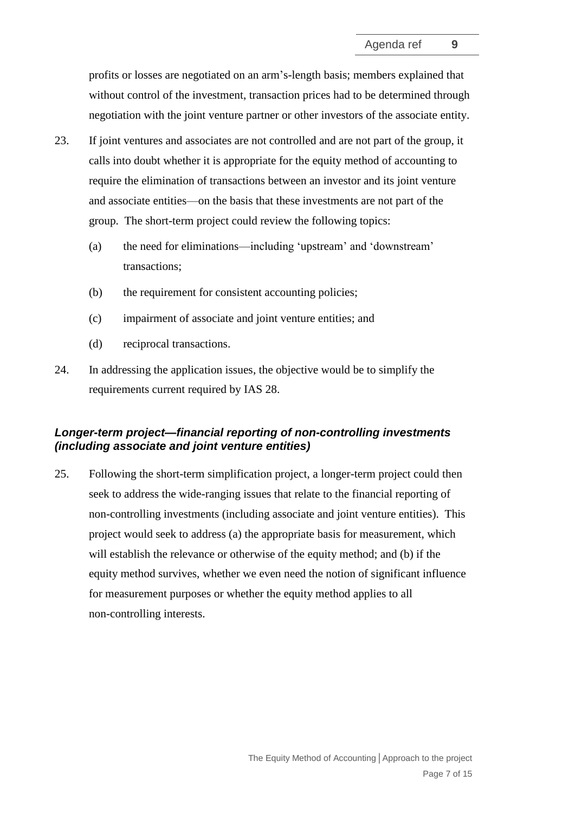profits or losses are negotiated on an arm's-length basis; members explained that without control of the investment, transaction prices had to be determined through negotiation with the joint venture partner or other investors of the associate entity.

- 23. If joint ventures and associates are not controlled and are not part of the group, it calls into doubt whether it is appropriate for the equity method of accounting to require the elimination of transactions between an investor and its joint venture and associate entities—on the basis that these investments are not part of the group. The short-term project could review the following topics:
	- (a) the need for eliminations—including 'upstream' and 'downstream' transactions;
	- (b) the requirement for consistent accounting policies;
	- (c) impairment of associate and joint venture entities; and
	- (d) reciprocal transactions.
- 24. In addressing the application issues, the objective would be to simplify the requirements current required by IAS 28.

#### *Longer-term project—financial reporting of non-controlling investments (including associate and joint venture entities)*

25. Following the short-term simplification project, a longer-term project could then seek to address the wide-ranging issues that relate to the financial reporting of non-controlling investments (including associate and joint venture entities). This project would seek to address (a) the appropriate basis for measurement, which will establish the relevance or otherwise of the equity method; and (b) if the equity method survives, whether we even need the notion of significant influence for measurement purposes or whether the equity method applies to all non-controlling interests.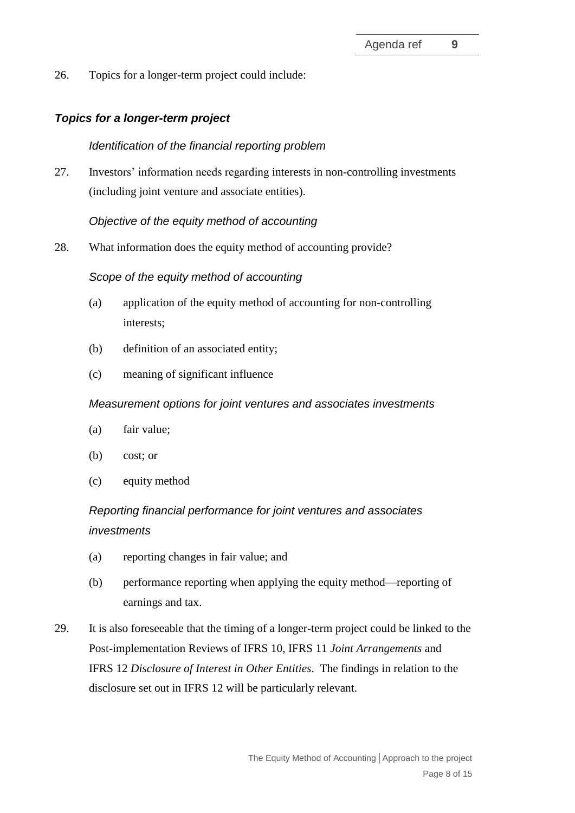26. Topics for a longer-term project could include:

#### *Topics for a longer-term project*

#### *Identification of the financial reporting problem*

27. Investors' information needs regarding interests in non-controlling investments (including joint venture and associate entities).

#### *Objective of the equity method of accounting*

28. What information does the equity method of accounting provide?

#### *Scope of the equity method of accounting*

- (a) application of the equity method of accounting for non-controlling interests;
- (b) definition of an associated entity;
- (c) meaning of significant influence

#### *Measurement options for joint ventures and associates investments*

- (a) fair value;
- (b) cost; or
- (c) equity method

## *Reporting financial performance for joint ventures and associates investments*

- (a) reporting changes in fair value; and
- (b) performance reporting when applying the equity method—reporting of earnings and tax.
- 29. It is also foreseeable that the timing of a longer-term project could be linked to the Post-implementation Reviews of IFRS 10, IFRS 11 *Joint Arrangements* and IFRS 12 *Disclosure of Interest in Other Entities*. The findings in relation to the disclosure set out in IFRS 12 will be particularly relevant.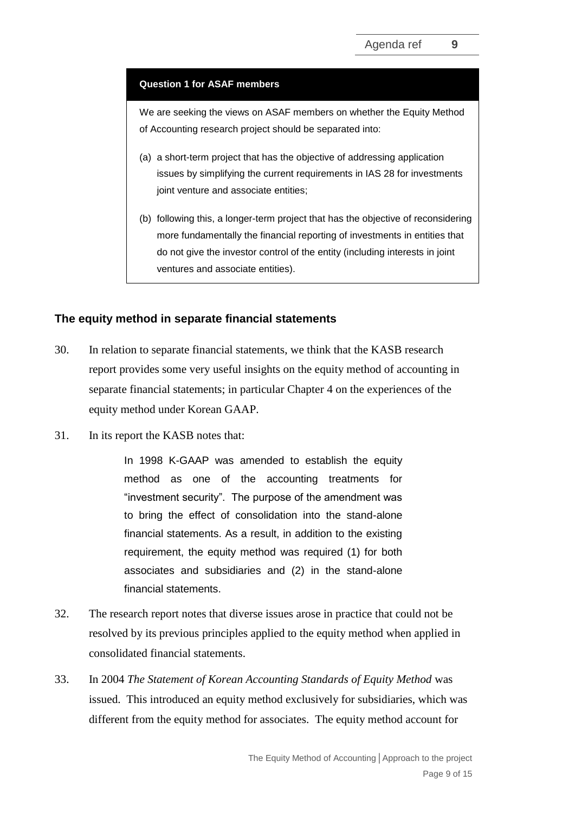#### **Question 1 for ASAF members**

We are seeking the views on ASAF members on whether the Equity Method of Accounting research project should be separated into:

- (a) a short-term project that has the objective of addressing application issues by simplifying the current requirements in IAS 28 for investments joint venture and associate entities;
- (b) following this, a longer-term project that has the objective of reconsidering more fundamentally the financial reporting of investments in entities that do not give the investor control of the entity (including interests in joint ventures and associate entities).

#### **The equity method in separate financial statements**

- 30. In relation to separate financial statements, we think that the KASB research report provides some very useful insights on the equity method of accounting in separate financial statements; in particular Chapter 4 on the experiences of the equity method under Korean GAAP.
- 31. In its report the KASB notes that:

In 1998 K-GAAP was amended to establish the equity method as one of the accounting treatments for "investment security". The purpose of the amendment was to bring the effect of consolidation into the stand-alone financial statements. As a result, in addition to the existing requirement, the equity method was required (1) for both associates and subsidiaries and (2) in the stand-alone financial statements.

- 32. The research report notes that diverse issues arose in practice that could not be resolved by its previous principles applied to the equity method when applied in consolidated financial statements.
- 33. In 2004 *The Statement of Korean Accounting Standards of Equity Method* was issued. This introduced an equity method exclusively for subsidiaries, which was different from the equity method for associates. The equity method account for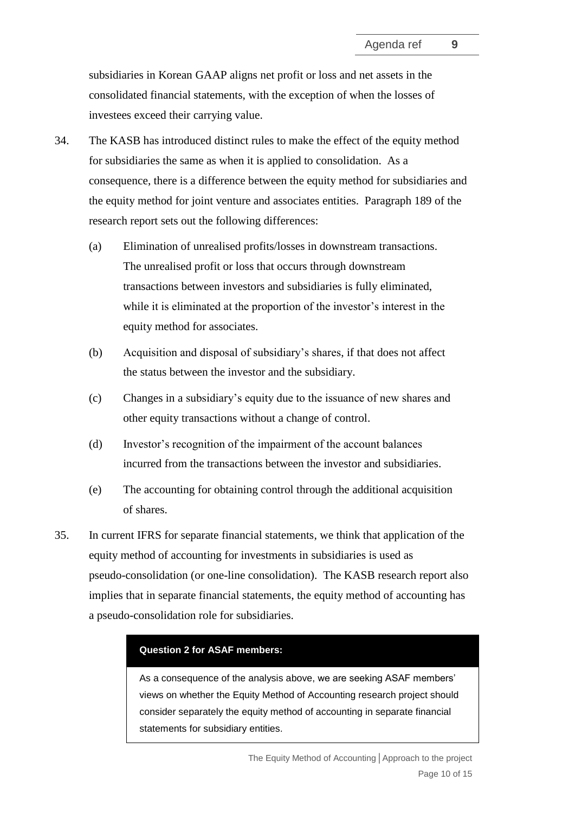subsidiaries in Korean GAAP aligns net profit or loss and net assets in the consolidated financial statements, with the exception of when the losses of investees exceed their carrying value.

- 34. The KASB has introduced distinct rules to make the effect of the equity method for subsidiaries the same as when it is applied to consolidation. As a consequence, there is a difference between the equity method for subsidiaries and the equity method for joint venture and associates entities. Paragraph 189 of the research report sets out the following differences:
	- (a) Elimination of unrealised profits/losses in downstream transactions. The unrealised profit or loss that occurs through downstream transactions between investors and subsidiaries is fully eliminated, while it is eliminated at the proportion of the investor's interest in the equity method for associates.
	- (b) Acquisition and disposal of subsidiary's shares, if that does not affect the status between the investor and the subsidiary.
	- (c) Changes in a subsidiary's equity due to the issuance of new shares and other equity transactions without a change of control.
	- (d) Investor's recognition of the impairment of the account balances incurred from the transactions between the investor and subsidiaries.
	- (e) The accounting for obtaining control through the additional acquisition of shares.
- 35. In current IFRS for separate financial statements, we think that application of the equity method of accounting for investments in subsidiaries is used as pseudo-consolidation (or one-line consolidation). The KASB research report also implies that in separate financial statements, the equity method of accounting has a pseudo-consolidation role for subsidiaries.

#### **Question 2 for ASAF members:**

As a consequence of the analysis above, we are seeking ASAF members' views on whether the Equity Method of Accounting research project should consider separately the equity method of accounting in separate financial statements for subsidiary entities.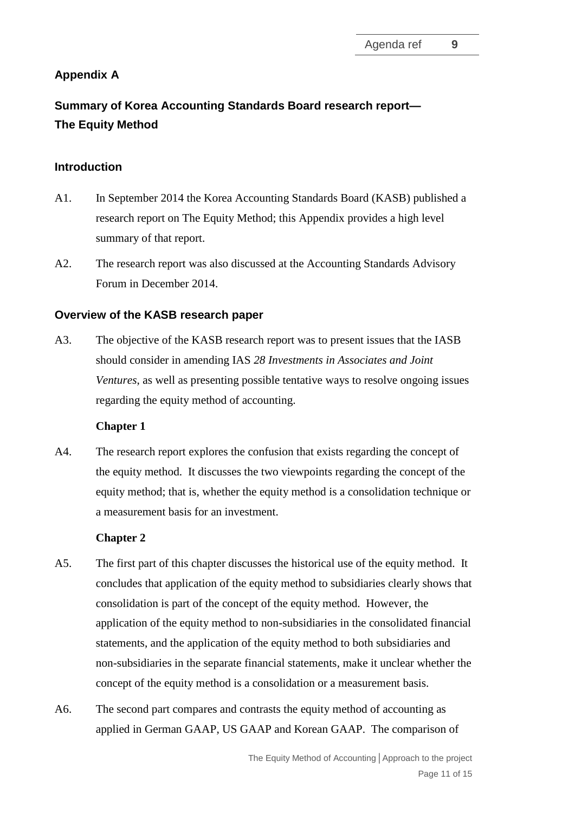### **Appendix A**

# **Summary of Korea Accounting Standards Board research report— The Equity Method**

#### **Introduction**

- A1. In September 2014 the Korea Accounting Standards Board (KASB) published a research report on The Equity Method; this Appendix provides a high level summary of that report.
- A2. The research report was also discussed at the Accounting Standards Advisory Forum in December 2014.

#### **Overview of the KASB research paper**

A3. The objective of the KASB research report was to present issues that the IASB should consider in amending IAS *28 Investments in Associates and Joint Ventures*, as well as presenting possible tentative ways to resolve ongoing issues regarding the equity method of accounting.

#### **Chapter 1**

A4. The research report explores the confusion that exists regarding the concept of the equity method. It discusses the two viewpoints regarding the concept of the equity method; that is, whether the equity method is a consolidation technique or a measurement basis for an investment.

#### **Chapter 2**

- A5. The first part of this chapter discusses the historical use of the equity method. It concludes that application of the equity method to subsidiaries clearly shows that consolidation is part of the concept of the equity method. However, the application of the equity method to non-subsidiaries in the consolidated financial statements, and the application of the equity method to both subsidiaries and non-subsidiaries in the separate financial statements, make it unclear whether the concept of the equity method is a consolidation or a measurement basis.
- A6. The second part compares and contrasts the equity method of accounting as applied in German GAAP, US GAAP and Korean GAAP. The comparison of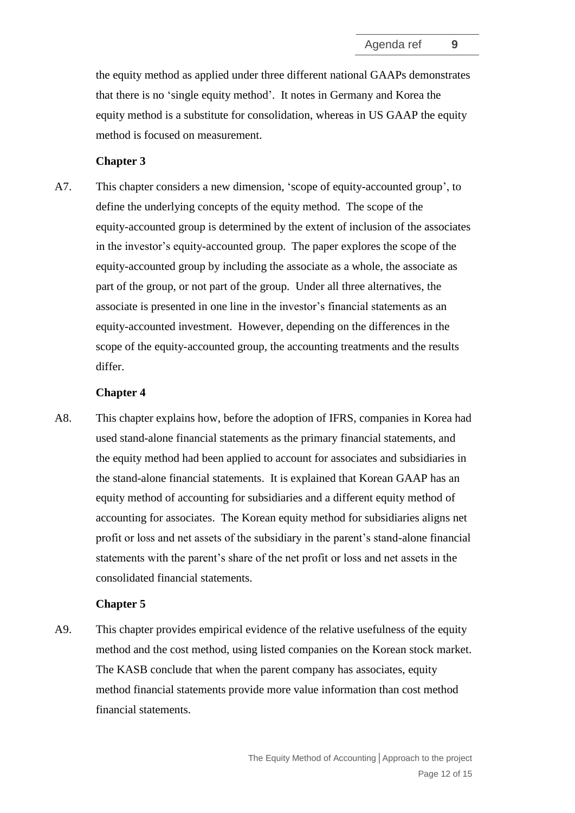the equity method as applied under three different national GAAPs demonstrates that there is no 'single equity method'. It notes in Germany and Korea the equity method is a substitute for consolidation, whereas in US GAAP the equity method is focused on measurement.

#### **Chapter 3**

A7. This chapter considers a new dimension, 'scope of equity-accounted group', to define the underlying concepts of the equity method. The scope of the equity-accounted group is determined by the extent of inclusion of the associates in the investor's equity-accounted group. The paper explores the scope of the equity-accounted group by including the associate as a whole, the associate as part of the group, or not part of the group. Under all three alternatives, the associate is presented in one line in the investor's financial statements as an equity-accounted investment. However, depending on the differences in the scope of the equity-accounted group, the accounting treatments and the results differ.

#### **Chapter 4**

A8. This chapter explains how, before the adoption of IFRS, companies in Korea had used stand-alone financial statements as the primary financial statements, and the equity method had been applied to account for associates and subsidiaries in the stand-alone financial statements. It is explained that Korean GAAP has an equity method of accounting for subsidiaries and a different equity method of accounting for associates. The Korean equity method for subsidiaries aligns net profit or loss and net assets of the subsidiary in the parent's stand-alone financial statements with the parent's share of the net profit or loss and net assets in the consolidated financial statements.

#### **Chapter 5**

A9. This chapter provides empirical evidence of the relative usefulness of the equity method and the cost method, using listed companies on the Korean stock market. The KASB conclude that when the parent company has associates, equity method financial statements provide more value information than cost method financial statements.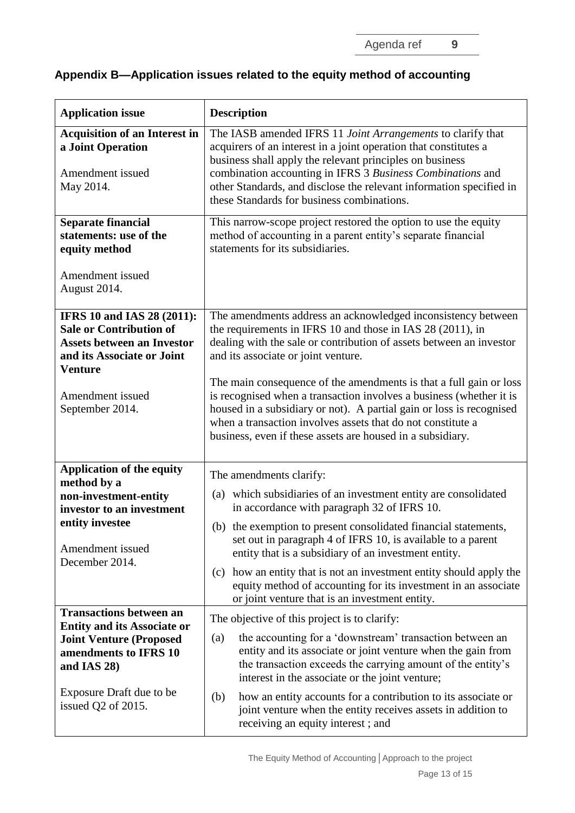Agenda ref **9**

# **Appendix B—Application issues related to the equity method of accounting**

| <b>Application issue</b>                                                                                                                                                                        | <b>Description</b>                                                                                                                                                                                                                                                                                                                                                                                                                                                                                                                                                                         |  |
|-------------------------------------------------------------------------------------------------------------------------------------------------------------------------------------------------|--------------------------------------------------------------------------------------------------------------------------------------------------------------------------------------------------------------------------------------------------------------------------------------------------------------------------------------------------------------------------------------------------------------------------------------------------------------------------------------------------------------------------------------------------------------------------------------------|--|
| <b>Acquisition of an Interest in</b><br>a Joint Operation<br>Amendment issued<br>May 2014.                                                                                                      | The IASB amended IFRS 11 Joint Arrangements to clarify that<br>acquirers of an interest in a joint operation that constitutes a<br>business shall apply the relevant principles on business<br>combination accounting in IFRS 3 Business Combinations and<br>other Standards, and disclose the relevant information specified in<br>these Standards for business combinations.                                                                                                                                                                                                             |  |
| <b>Separate financial</b><br>statements: use of the<br>equity method<br>Amendment issued                                                                                                        | This narrow-scope project restored the option to use the equity<br>method of accounting in a parent entity's separate financial<br>statements for its subsidiaries.                                                                                                                                                                                                                                                                                                                                                                                                                        |  |
| August 2014.                                                                                                                                                                                    |                                                                                                                                                                                                                                                                                                                                                                                                                                                                                                                                                                                            |  |
| <b>IFRS 10 and IAS 28 (2011):</b><br><b>Sale or Contribution of</b><br><b>Assets between an Investor</b><br>and its Associate or Joint<br><b>Venture</b><br>Amendment issued<br>September 2014. | The amendments address an acknowledged inconsistency between<br>the requirements in IFRS 10 and those in IAS 28 (2011), in<br>dealing with the sale or contribution of assets between an investor<br>and its associate or joint venture.<br>The main consequence of the amendments is that a full gain or loss<br>is recognised when a transaction involves a business (whether it is<br>housed in a subsidiary or not). A partial gain or loss is recognised<br>when a transaction involves assets that do not constitute a<br>business, even if these assets are housed in a subsidiary. |  |
| <b>Application of the equity</b>                                                                                                                                                                | The amendments clarify:                                                                                                                                                                                                                                                                                                                                                                                                                                                                                                                                                                    |  |
| method by a<br>non-investment-entity<br>investor to an investment                                                                                                                               | (a) which subsidiaries of an investment entity are consolidated<br>in accordance with paragraph 32 of IFRS 10.                                                                                                                                                                                                                                                                                                                                                                                                                                                                             |  |
| entity investee<br>Amendment issued<br>December 2014.                                                                                                                                           | (b) the exemption to present consolidated financial statements,<br>set out in paragraph 4 of IFRS 10, is available to a parent<br>entity that is a subsidiary of an investment entity.                                                                                                                                                                                                                                                                                                                                                                                                     |  |
|                                                                                                                                                                                                 | how an entity that is not an investment entity should apply the<br>(c)<br>equity method of accounting for its investment in an associate<br>or joint venture that is an investment entity.                                                                                                                                                                                                                                                                                                                                                                                                 |  |
| <b>Transactions between an</b><br><b>Entity and its Associate or</b>                                                                                                                            | The objective of this project is to clarify:                                                                                                                                                                                                                                                                                                                                                                                                                                                                                                                                               |  |
| <b>Joint Venture (Proposed</b><br>amendments to IFRS 10<br>and IAS 28)                                                                                                                          | the accounting for a 'downstream' transaction between an<br>(a)<br>entity and its associate or joint venture when the gain from<br>the transaction exceeds the carrying amount of the entity's<br>interest in the associate or the joint venture;                                                                                                                                                                                                                                                                                                                                          |  |
| Exposure Draft due to be<br>issued Q2 of 2015.                                                                                                                                                  | how an entity accounts for a contribution to its associate or<br>(b)<br>joint venture when the entity receives assets in addition to<br>receiving an equity interest; and                                                                                                                                                                                                                                                                                                                                                                                                                  |  |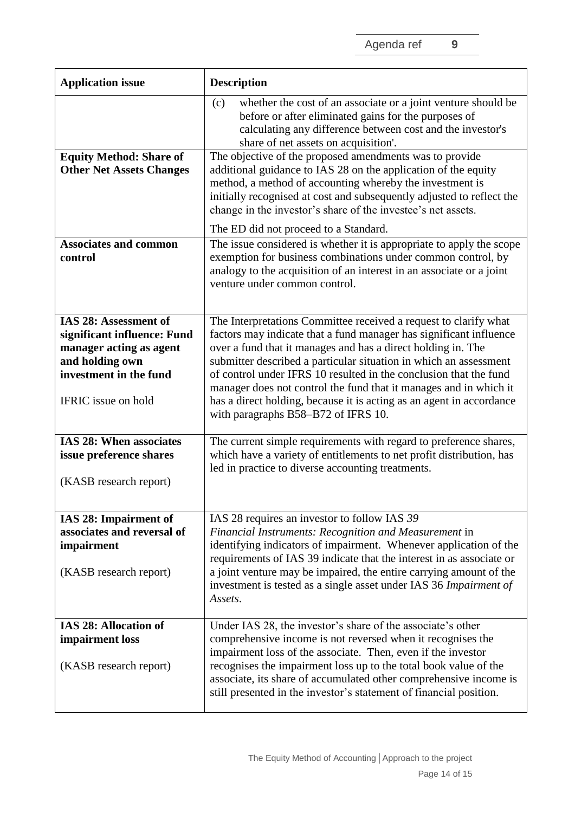| <b>Application issue</b>                                                                                                                            | <b>Description</b>                                                                                                                                                                                                                                                                                                                                                                                                                                                                                                                   |
|-----------------------------------------------------------------------------------------------------------------------------------------------------|--------------------------------------------------------------------------------------------------------------------------------------------------------------------------------------------------------------------------------------------------------------------------------------------------------------------------------------------------------------------------------------------------------------------------------------------------------------------------------------------------------------------------------------|
|                                                                                                                                                     | whether the cost of an associate or a joint venture should be<br>(c)<br>before or after eliminated gains for the purposes of<br>calculating any difference between cost and the investor's<br>share of net assets on acquisition'.                                                                                                                                                                                                                                                                                                   |
| <b>Equity Method: Share of</b><br><b>Other Net Assets Changes</b>                                                                                   | The objective of the proposed amendments was to provide<br>additional guidance to IAS 28 on the application of the equity<br>method, a method of accounting whereby the investment is<br>initially recognised at cost and subsequently adjusted to reflect the<br>change in the investor's share of the investee's net assets.<br>The ED did not proceed to a Standard.                                                                                                                                                              |
| <b>Associates and common</b><br>control                                                                                                             | The issue considered is whether it is appropriate to apply the scope<br>exemption for business combinations under common control, by<br>analogy to the acquisition of an interest in an associate or a joint<br>venture under common control.                                                                                                                                                                                                                                                                                        |
| IAS 28: Assessment of<br>significant influence: Fund<br>manager acting as agent<br>and holding own<br>investment in the fund<br>IFRIC issue on hold | The Interpretations Committee received a request to clarify what<br>factors may indicate that a fund manager has significant influence<br>over a fund that it manages and has a direct holding in. The<br>submitter described a particular situation in which an assessment<br>of control under IFRS 10 resulted in the conclusion that the fund<br>manager does not control the fund that it manages and in which it<br>has a direct holding, because it is acting as an agent in accordance<br>with paragraphs B58–B72 of IFRS 10. |
| <b>IAS 28: When associates</b><br>issue preference shares<br>(KASB research report)                                                                 | The current simple requirements with regard to preference shares,<br>which have a variety of entitlements to net profit distribution, has<br>led in practice to diverse accounting treatments.                                                                                                                                                                                                                                                                                                                                       |
| IAS 28: Impairment of<br>associates and reversal of<br>impairment<br>(KASB research report)                                                         | IAS 28 requires an investor to follow IAS 39<br>Financial Instruments: Recognition and Measurement in<br>identifying indicators of impairment. Whenever application of the<br>requirements of IAS 39 indicate that the interest in as associate or<br>a joint venture may be impaired, the entire carrying amount of the<br>investment is tested as a single asset under IAS 36 Impairment of<br>Assets.                                                                                                                             |
| IAS 28: Allocation of<br>impairment loss<br>(KASB research report)                                                                                  | Under IAS 28, the investor's share of the associate's other<br>comprehensive income is not reversed when it recognises the<br>impairment loss of the associate. Then, even if the investor<br>recognises the impairment loss up to the total book value of the<br>associate, its share of accumulated other comprehensive income is<br>still presented in the investor's statement of financial position.                                                                                                                            |